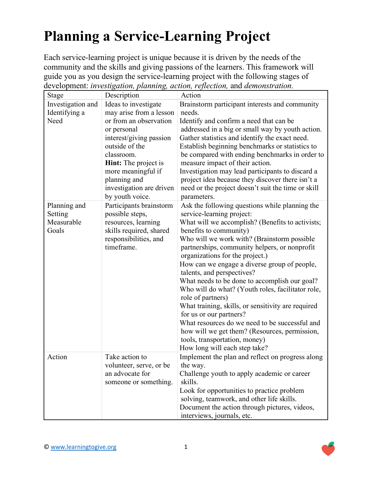## **Planning a Service-Learning Project**

Each service-learning project is unique because it is driven by the needs of the community and the skills and giving passions of the learners. This framework will guide you as you design the service-learning project with the following stages of development: *investigation, planning, action, reflection,* and *demonstration.*

| Stage                                          | Description                                                                                                                                                                                                                                                      | Action                                                                                                                                                                                                                                                                                                                                                                                                                                                                                                                                                                                                                                                                                                                                                      |
|------------------------------------------------|------------------------------------------------------------------------------------------------------------------------------------------------------------------------------------------------------------------------------------------------------------------|-------------------------------------------------------------------------------------------------------------------------------------------------------------------------------------------------------------------------------------------------------------------------------------------------------------------------------------------------------------------------------------------------------------------------------------------------------------------------------------------------------------------------------------------------------------------------------------------------------------------------------------------------------------------------------------------------------------------------------------------------------------|
| Investigation and<br>Identifying a<br>Need     | Ideas to investigate<br>may arise from a lesson<br>or from an observation<br>or personal<br>interest/giving passion<br>outside of the<br>classroom.<br>Hint: The project is<br>more meaningful if<br>planning and<br>investigation are driven<br>by youth voice. | Brainstorm participant interests and community<br>needs.<br>Identify and confirm a need that can be<br>addressed in a big or small way by youth action.<br>Gather statistics and identify the exact need.<br>Establish beginning benchmarks or statistics to<br>be compared with ending benchmarks in order to<br>measure impact of their action.<br>Investigation may lead participants to discard a<br>project idea because they discover there isn't a<br>need or the project doesn't suit the time or skill<br>parameters.                                                                                                                                                                                                                              |
| Planning and<br>Setting<br>Measurable<br>Goals | Participants brainstorm<br>possible steps,<br>resources, learning<br>skills required, shared<br>responsibilities, and<br>timeframe.                                                                                                                              | Ask the following questions while planning the<br>service-learning project:<br>What will we accomplish? (Benefits to activists;<br>benefits to community)<br>Who will we work with? (Brainstorm possible<br>partnerships, community helpers, or nonprofit<br>organizations for the project.)<br>How can we engage a diverse group of people,<br>talents, and perspectives?<br>What needs to be done to accomplish our goal?<br>Who will do what? (Youth roles, facilitator role,<br>role of partners)<br>What training, skills, or sensitivity are required<br>for us or our partners?<br>What resources do we need to be successful and<br>how will we get them? (Resources, permission,<br>tools, transportation, money)<br>How long will each step take? |
| Action                                         | Take action to<br>volunteer, serve, or be<br>an advocate for<br>someone or something.                                                                                                                                                                            | Implement the plan and reflect on progress along<br>the way.<br>Challenge youth to apply academic or career<br>skills.<br>Look for opportunities to practice problem<br>solving, teamwork, and other life skills.<br>Document the action through pictures, videos,<br>interviews, journals, etc.                                                                                                                                                                                                                                                                                                                                                                                                                                                            |